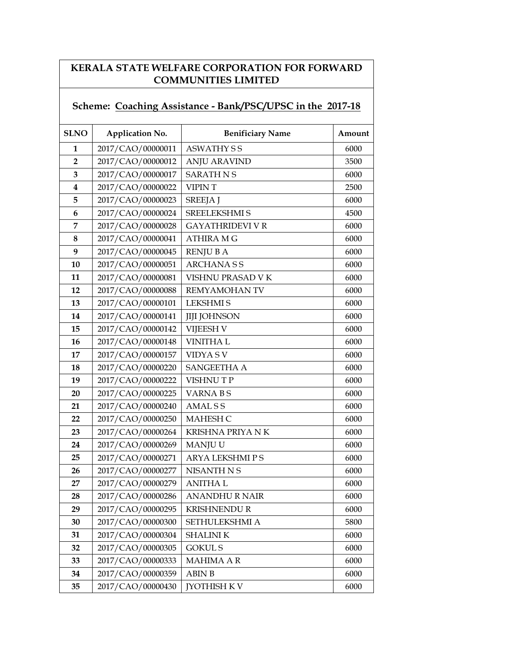## KERALA STATE WELFARE CORPORATION FOR FORWARD COMMUNITIES LIMITED

## Scheme: Coaching Assistance - Bank/PSC/UPSC in the 2017-18

| <b>SLNO</b>             | <b>Application No.</b> | <b>Benificiary Name</b> | Amount |
|-------------------------|------------------------|-------------------------|--------|
| 1                       | 2017/CAO/00000011      | <b>ASWATHY SS</b>       | 6000   |
| $\overline{2}$          | 2017/CAO/00000012      | <b>ANJU ARAVIND</b>     | 3500   |
| 3                       | 2017/CAO/00000017      | <b>SARATH N S</b>       | 6000   |
| $\overline{\mathbf{4}}$ | 2017/CAO/00000022      | <b>VIPINT</b>           | 2500   |
| 5                       | 2017/CAO/00000023      | <b>SREEJAJ</b>          | 6000   |
| 6                       | 2017/CAO/00000024      | <b>SREELEKSHMI S</b>    | 4500   |
| 7                       | 2017/CAO/00000028      | <b>GAYATHRIDEVI V R</b> | 6000   |
| 8                       | 2017/CAO/00000041      | <b>ATHIRA MG</b>        | 6000   |
| 9                       | 2017/CAO/00000045      | <b>RENJUBA</b>          | 6000   |
| 10                      | 2017/CAO/00000051      | <b>ARCHANASS</b>        | 6000   |
| 11                      | 2017/CAO/00000081      | VISHNU PRASAD V K       | 6000   |
| 12                      | 2017/CAO/00000088      | REMYAMOHAN TV           | 6000   |
| 13                      | 2017/CAO/00000101      | <b>LEKSHMIS</b>         | 6000   |
| 14                      | 2017/CAO/00000141      | <b>JIJI JOHNSON</b>     | 6000   |
| 15                      | 2017/CAO/00000142      | <b>VIJEESH V</b>        | 6000   |
| 16                      | 2017/CAO/00000148      | <b>VINITHAL</b>         | 6000   |
| 17                      | 2017/CAO/00000157      | <b>VIDYASV</b>          | 6000   |
| 18                      | 2017/CAO/00000220      | <b>SANGEETHA A</b>      | 6000   |
| 19                      | 2017/CAO/00000222      | <b>VISHNUTP</b>         | 6000   |
| 20                      | 2017/CAO/00000225      | <b>VARNABS</b>          | 6000   |
| 21                      | 2017/CAO/00000240      | <b>AMALSS</b>           | 6000   |
| 22                      | 2017/CAO/00000250      | <b>MAHESH C</b>         | 6000   |
| 23                      | 2017/CAO/00000264      | <b>KRISHNA PRIYA NK</b> | 6000   |
| 24                      | 2017/CAO/00000269      | <b>MANJUU</b>           | 6000   |
| 25                      | 2017/CAO/00000271      | <b>ARYA LEKSHMI P S</b> | 6000   |
| 26                      | 2017/CAO/00000277      | NISANTH N S             | 6000   |
| 27                      | 2017/CAO/00000279      | <b>ANITHAL</b>          | 6000   |
| 28                      | 2017/CAO/00000286      | <b>ANANDHURNAIR</b>     | 6000   |
| 29                      | 2017/CAO/00000295      | <b>KRISHNENDUR</b>      | 6000   |
| 30                      | 2017/CAO/00000300      | SETHULEKSHMI A          | 5800   |
| 31                      | 2017/CAO/00000304      | <b>SHALINIK</b>         | 6000   |
| 32                      | 2017/CAO/00000305      | <b>GOKULS</b>           | 6000   |
| 33                      | 2017/CAO/00000333      | <b>MAHIMA A R</b>       | 6000   |
| 34                      | 2017/CAO/00000359      | <b>ABIN B</b>           | 6000   |
| 35                      | 2017/CAO/00000430      | <b>JYOTHISH K V</b>     | 6000   |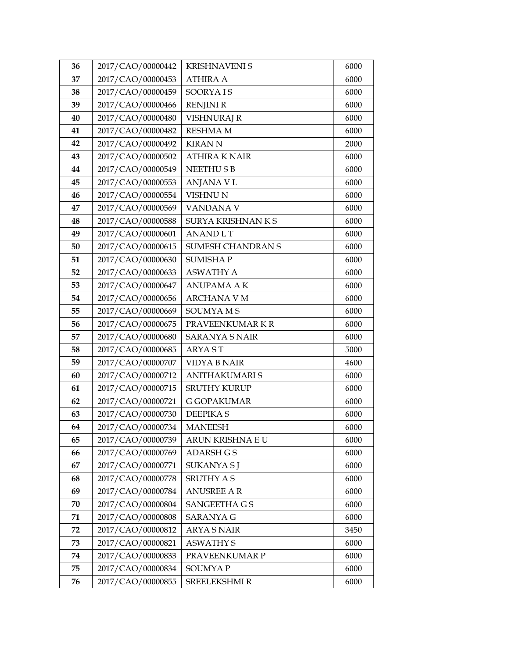| 36 | 2017/CAO/00000442 | <b>KRISHNAVENI S</b>     | 6000 |
|----|-------------------|--------------------------|------|
| 37 | 2017/CAO/00000453 | <b>ATHIRA A</b>          | 6000 |
| 38 | 2017/CAO/00000459 | <b>SOORYAIS</b>          | 6000 |
| 39 | 2017/CAO/00000466 | <b>RENJINI R</b>         | 6000 |
| 40 | 2017/CAO/00000480 | <b>VISHNURAJ R</b>       | 6000 |
| 41 | 2017/CAO/00000482 | <b>RESHMA M</b>          | 6000 |
| 42 | 2017/CAO/00000492 | <b>KIRANN</b>            | 2000 |
| 43 | 2017/CAO/00000502 | <b>ATHIRA K NAIR</b>     | 6000 |
| 44 | 2017/CAO/00000549 | <b>NEETHUSB</b>          | 6000 |
| 45 | 2017/CAO/00000553 | <b>ANJANA V L</b>        | 6000 |
| 46 | 2017/CAO/00000554 | <b>VISHNU N</b>          | 6000 |
| 47 | 2017/CAO/00000569 | VANDANA V                | 6000 |
| 48 | 2017/CAO/00000588 | SURYA KRISHNAN K S       | 6000 |
| 49 | 2017/CAO/00000601 | <b>ANANDLT</b>           | 6000 |
| 50 | 2017/CAO/00000615 | <b>SUMESH CHANDRAN S</b> | 6000 |
| 51 | 2017/CAO/00000630 | <b>SUMISHAP</b>          | 6000 |
| 52 | 2017/CAO/00000633 | <b>ASWATHY A</b>         | 6000 |
| 53 | 2017/CAO/00000647 | <b>ANUPAMA AK</b>        | 6000 |
| 54 | 2017/CAO/00000656 | <b>ARCHANA V M</b>       | 6000 |
| 55 | 2017/CAO/00000669 | <b>SOUMYAMS</b>          | 6000 |
| 56 | 2017/CAO/00000675 | PRAVEENKUMAR K R         | 6000 |
| 57 | 2017/CAO/00000680 | <b>SARANYA S NAIR</b>    | 6000 |
| 58 | 2017/CAO/00000685 | <b>ARYAST</b>            | 5000 |
| 59 | 2017/CAO/00000707 | <b>VIDYA B NAIR</b>      | 4600 |
| 60 | 2017/CAO/00000712 | ANITHAKUMARI S           | 6000 |
| 61 | 2017/CAO/00000715 | <b>SRUTHY KURUP</b>      | 6000 |
| 62 | 2017/CAO/00000721 | <b>G GOPAKUMAR</b>       | 6000 |
| 63 | 2017/CAO/00000730 | <b>DEEPIKAS</b>          | 6000 |
| 64 | 2017/CAO/00000734 | <b>MANEESH</b>           | 6000 |
| 65 | 2017/CAO/00000739 | ARUN KRISHNA E U         | 6000 |
| 66 | 2017/CAO/00000769 | <b>ADARSH G S</b>        | 6000 |
| 67 | 2017/CAO/00000771 | <b>SUKANYASJ</b>         | 6000 |
| 68 | 2017/CAO/00000778 | <b>SRUTHY A S</b>        | 6000 |
| 69 | 2017/CAO/00000784 | <b>ANUSREE AR</b>        | 6000 |
| 70 | 2017/CAO/00000804 | SANGEETHA G S            | 6000 |
| 71 | 2017/CAO/00000808 | <b>SARANYA G</b>         | 6000 |
| 72 | 2017/CAO/00000812 | <b>ARYA S NAIR</b>       | 3450 |
| 73 | 2017/CAO/00000821 | <b>ASWATHY S</b>         | 6000 |
| 74 | 2017/CAO/00000833 | PRAVEENKUMAR P           | 6000 |
| 75 | 2017/CAO/00000834 | SOUMYA P                 | 6000 |
| 76 | 2017/CAO/00000855 | <b>SREELEKSHMI R</b>     | 6000 |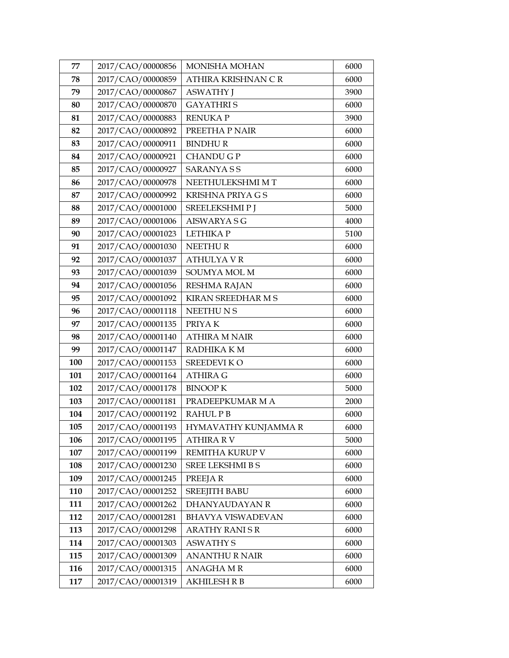| 77  | 2017/CAO/00000856 | MONISHA MOHAN            | 6000 |
|-----|-------------------|--------------------------|------|
| 78  | 2017/CAO/00000859 | ATHIRA KRISHNAN CR       | 6000 |
| 79  | 2017/CAO/00000867 | <b>ASWATHY J</b>         | 3900 |
| 80  | 2017/CAO/00000870 | <b>GAYATHRIS</b>         | 6000 |
| 81  | 2017/CAO/00000883 | <b>RENUKAP</b>           | 3900 |
| 82  | 2017/CAO/00000892 | PREETHA P NAIR           | 6000 |
| 83  | 2017/CAO/00000911 | <b>BINDHUR</b>           | 6000 |
| 84  | 2017/CAO/00000921 | <b>CHANDU G P</b>        | 6000 |
| 85  | 2017/CAO/00000927 | <b>SARANYASS</b>         | 6000 |
| 86  | 2017/CAO/00000978 | NEETHULEKSHMI MT         | 6000 |
| 87  | 2017/CAO/00000992 | <b>KRISHNA PRIYA G S</b> | 6000 |
| 88  | 2017/CAO/00001000 | SREELEKSHMIP J           | 5000 |
| 89  | 2017/CAO/00001006 | <b>AISWARYA S G</b>      | 4000 |
| 90  | 2017/CAO/00001023 | LETHIKA P                | 5100 |
| 91  | 2017/CAO/00001030 | NEETHUR                  | 6000 |
| 92  | 2017/CAO/00001037 | <b>ATHULYAVR</b>         | 6000 |
| 93  | 2017/CAO/00001039 | SOUMYA MOL M             | 6000 |
| 94  | 2017/CAO/00001056 | <b>RESHMA RAJAN</b>      | 6000 |
| 95  | 2017/CAO/00001092 | KIRAN SREEDHAR M S       | 6000 |
| 96  | 2017/CAO/00001118 | NEETHUNS                 | 6000 |
| 97  | 2017/CAO/00001135 | PRIYAK                   | 6000 |
| 98  | 2017/CAO/00001140 | <b>ATHIRA M NAIR</b>     | 6000 |
| 99  | 2017/CAO/00001147 | RADHIKA KM               | 6000 |
| 100 | 2017/CAO/00001153 | <b>SREEDEVIKO</b>        | 6000 |
| 101 | 2017/CAO/00001164 | <b>ATHIRA G</b>          | 6000 |
| 102 | 2017/CAO/00001178 | <b>BINOOP K</b>          | 5000 |
| 103 | 2017/CAO/00001181 | PRADEEPKUMAR M A         | 2000 |
| 104 | 2017/CAO/00001192 | <b>RAHULPB</b>           | 6000 |
| 105 | 2017/CAO/00001193 | HYMAVATHY KUNJAMMA R     | 6000 |
| 106 | 2017/CAO/00001195 | <b>ATHIRA RV</b>         | 5000 |
| 107 | 2017/CAO/00001199 | REMITHA KURUP V          | 6000 |
| 108 | 2017/CAO/00001230 | SREE LEKSHMI B S         | 6000 |
| 109 | 2017/CAO/00001245 | PREEJAR                  | 6000 |
| 110 | 2017/CAO/00001252 | <b>SREEJITH BABU</b>     | 6000 |
| 111 | 2017/CAO/00001262 | DHANYAUDAYAN R           | 6000 |
| 112 | 2017/CAO/00001281 | <b>BHAVYA VISWADEVAN</b> | 6000 |
| 113 | 2017/CAO/00001298 | <b>ARATHY RANISR</b>     | 6000 |
| 114 | 2017/CAO/00001303 | <b>ASWATHY S</b>         | 6000 |
| 115 | 2017/CAO/00001309 | <b>ANANTHU R NAIR</b>    | 6000 |
| 116 | 2017/CAO/00001315 | <b>ANAGHAMR</b>          | 6000 |
| 117 | 2017/CAO/00001319 | <b>AKHILESH R B</b>      | 6000 |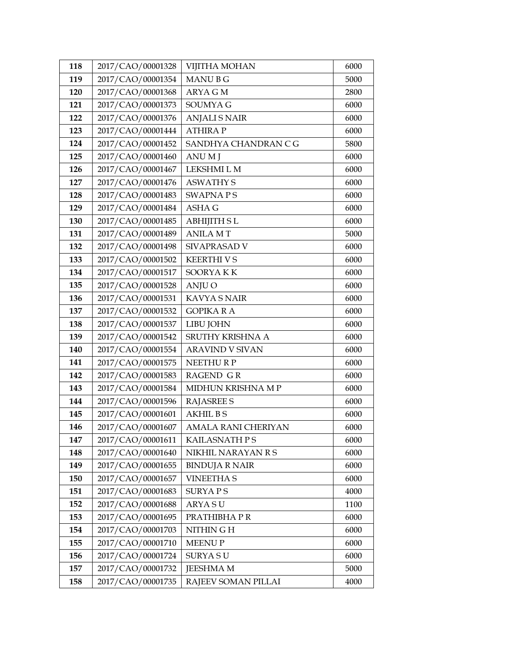| 118 | 2017/CAO/00001328 | <b>VIJITHA MOHAN</b>   | 6000 |
|-----|-------------------|------------------------|------|
| 119 | 2017/CAO/00001354 | <b>MANUBG</b>          | 5000 |
| 120 | 2017/CAO/00001368 | <b>ARYA GM</b>         | 2800 |
| 121 | 2017/CAO/00001373 | <b>SOUMYA G</b>        | 6000 |
| 122 | 2017/CAO/00001376 | <b>ANJALI S NAIR</b>   | 6000 |
| 123 | 2017/CAO/00001444 | <b>ATHIRAP</b>         | 6000 |
| 124 | 2017/CAO/00001452 | SANDHYA CHANDRAN C G   | 5800 |
| 125 | 2017/CAO/00001460 | <b>ANUMJ</b>           | 6000 |
| 126 | 2017/CAO/00001467 | LEKSHMI L M            | 6000 |
| 127 | 2017/CAO/00001476 | <b>ASWATHY S</b>       | 6000 |
| 128 | 2017/CAO/00001483 | <b>SWAPNAPS</b>        | 6000 |
| 129 | 2017/CAO/00001484 | <b>ASHA G</b>          | 6000 |
| 130 | 2017/CAO/00001485 | <b>ABHIJITH SL</b>     | 6000 |
| 131 | 2017/CAO/00001489 | <b>ANILA MT</b>        | 5000 |
| 132 | 2017/CAO/00001498 | SIVAPRASAD V           | 6000 |
| 133 | 2017/CAO/00001502 | <b>KEERTHIVS</b>       | 6000 |
| 134 | 2017/CAO/00001517 | SOORYAKK               | 6000 |
| 135 | 2017/CAO/00001528 | ANJU O                 | 6000 |
| 136 | 2017/CAO/00001531 | <b>KAVYA S NAIR</b>    | 6000 |
| 137 | 2017/CAO/00001532 | <b>GOPIKA R A</b>      | 6000 |
| 138 | 2017/CAO/00001537 | LIBU JOHN              | 6000 |
| 139 | 2017/CAO/00001542 | SRUTHY KRISHNA A       | 6000 |
| 140 | 2017/CAO/00001554 | <b>ARAVIND V SIVAN</b> | 6000 |
| 141 | 2017/CAO/00001575 | NEETHURP               | 6000 |
| 142 | 2017/CAO/00001583 | <b>RAGEND GR</b>       | 6000 |
| 143 | 2017/CAO/00001584 | MIDHUN KRISHNA M P     | 6000 |
| 144 | 2017/CAO/00001596 | <b>RAJASREE S</b>      | 6000 |
| 145 | 2017/CAO/00001601 | <b>AKHIL BS</b>        | 6000 |
| 146 | 2017/CAO/00001607 | AMALA RANI CHERIYAN    | 6000 |
| 147 | 2017/CAO/00001611 | KAILASNATH P S         | 6000 |
| 148 | 2017/CAO/00001640 | NIKHIL NARAYAN R S     | 6000 |
| 149 | 2017/CAO/00001655 | <b>BINDUJA R NAIR</b>  | 6000 |
| 150 | 2017/CAO/00001657 | <b>VINEETHA S</b>      | 6000 |
| 151 | 2017/CAO/00001683 | <b>SURYAPS</b>         | 4000 |
| 152 | 2017/CAO/00001688 | <b>ARYASU</b>          | 1100 |
| 153 | 2017/CAO/00001695 | PRATHIBHA PR           | 6000 |
| 154 | 2017/CAO/00001703 | NITHIN G H             | 6000 |
| 155 | 2017/CAO/00001710 | <b>MEENUP</b>          | 6000 |
| 156 | 2017/CAO/00001724 | <b>SURYA SU</b>        | 6000 |
| 157 | 2017/CAO/00001732 | <b>JEESHMA M</b>       | 5000 |
| 158 | 2017/CAO/00001735 | RAJEEV SOMAN PILLAI    | 4000 |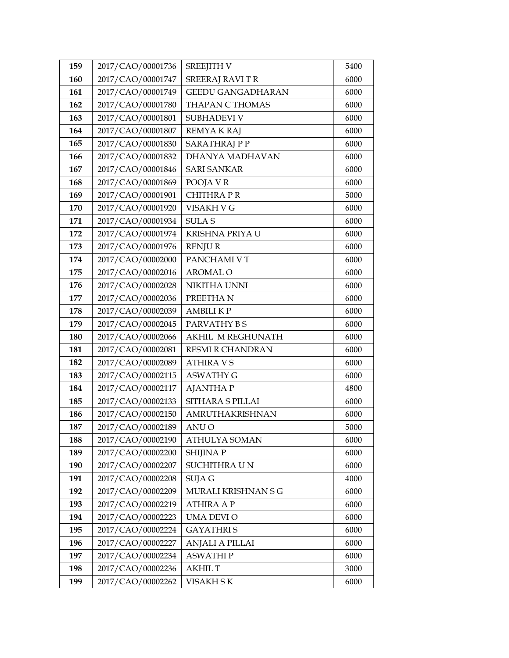| 159 | 2017/CAO/00001736 | <b>SREEJITH V</b>        | 5400 |
|-----|-------------------|--------------------------|------|
| 160 | 2017/CAO/00001747 | <b>SREERAJ RAVITR</b>    | 6000 |
| 161 | 2017/CAO/00001749 | <b>GEEDU GANGADHARAN</b> | 6000 |
| 162 | 2017/CAO/00001780 | THAPAN C THOMAS          | 6000 |
| 163 | 2017/CAO/00001801 | SUBHADEVI V              | 6000 |
| 164 | 2017/CAO/00001807 | <b>REMYAKRAJ</b>         | 6000 |
| 165 | 2017/CAO/00001830 | <b>SARATHRAJ P P</b>     | 6000 |
| 166 | 2017/CAO/00001832 | DHANYA MADHAVAN          | 6000 |
| 167 | 2017/CAO/00001846 | <b>SARI SANKAR</b>       | 6000 |
| 168 | 2017/CAO/00001869 | POOJA V R                | 6000 |
| 169 | 2017/CAO/00001901 | <b>CHITHRAPR</b>         | 5000 |
| 170 | 2017/CAO/00001920 | VISAKH V G               | 6000 |
| 171 | 2017/CAO/00001934 | <b>SULAS</b>             | 6000 |
| 172 | 2017/CAO/00001974 | KRISHNA PRIYA U          | 6000 |
| 173 | 2017/CAO/00001976 | <b>RENJUR</b>            | 6000 |
| 174 | 2017/CAO/00002000 | PANCHAMI V T             | 6000 |
| 175 | 2017/CAO/00002016 | <b>AROMAL O</b>          | 6000 |
| 176 | 2017/CAO/00002028 | NIKITHA UNNI             | 6000 |
| 177 | 2017/CAO/00002036 | PREETHAN                 | 6000 |
| 178 | 2017/CAO/00002039 | <b>AMBILIKP</b>          | 6000 |
| 179 | 2017/CAO/00002045 | PARVATHY BS              | 6000 |
| 180 | 2017/CAO/00002066 | AKHIL M REGHUNATH        | 6000 |
| 181 | 2017/CAO/00002081 | <b>RESMI R CHANDRAN</b>  | 6000 |
| 182 | 2017/CAO/00002089 | <b>ATHIRA VS</b>         | 6000 |
| 183 | 2017/CAO/00002115 | <b>ASWATHY G</b>         | 6000 |
| 184 | 2017/CAO/00002117 | <b>AJANTHAP</b>          | 4800 |
| 185 | 2017/CAO/00002133 | SITHARA S PILLAI         | 6000 |
| 186 | 2017/CAO/00002150 | AMRUTHAKRISHNAN          | 6000 |
| 187 | 2017/CAO/00002189 | <b>ANUO</b>              | 5000 |
| 188 | 2017/CAO/00002190 | ATHULYA SOMAN            | 6000 |
| 189 | 2017/CAO/00002200 | <b>SHIJINAP</b>          | 6000 |
| 190 | 2017/CAO/00002207 | SUCHITHRA UN             | 6000 |
| 191 | 2017/CAO/00002208 | SUJA G                   | 4000 |
| 192 | 2017/CAO/00002209 | MURALI KRISHNAN S G      | 6000 |
| 193 | 2017/CAO/00002219 | <b>ATHIRA A P</b>        | 6000 |
| 194 | 2017/CAO/00002223 | UMA DEVI O               | 6000 |
| 195 | 2017/CAO/00002224 | <b>GAYATHRIS</b>         | 6000 |
| 196 | 2017/CAO/00002227 | <b>ANJALI A PILLAI</b>   | 6000 |
| 197 | 2017/CAO/00002234 | <b>ASWATHIP</b>          | 6000 |
| 198 | 2017/CAO/00002236 | <b>AKHIL T</b>           | 3000 |
| 199 | 2017/CAO/00002262 | VISAKH SK                | 6000 |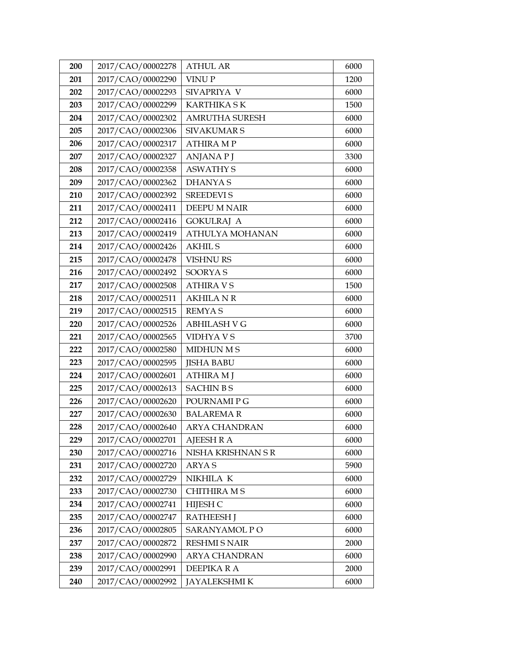| 200 | 2017/CAO/00002278 | <b>ATHUL AR</b>        | 6000 |
|-----|-------------------|------------------------|------|
| 201 | 2017/CAO/00002290 | <b>VINUP</b>           | 1200 |
| 202 | 2017/CAO/00002293 | SIVAPRIYA V            | 6000 |
| 203 | 2017/CAO/00002299 | <b>KARTHIKA SK</b>     | 1500 |
| 204 | 2017/CAO/00002302 | AMRUTHA SURESH         | 6000 |
| 205 | 2017/CAO/00002306 | <b>SIVAKUMAR S</b>     | 6000 |
| 206 | 2017/CAO/00002317 | <b>ATHIRA MP</b>       | 6000 |
| 207 | 2017/CAO/00002327 | <b>ANJANAPJ</b>        | 3300 |
| 208 | 2017/CAO/00002358 | <b>ASWATHY S</b>       | 6000 |
| 209 | 2017/CAO/00002362 | <b>DHANYAS</b>         | 6000 |
| 210 | 2017/CAO/00002392 | <b>SREEDEVIS</b>       | 6000 |
| 211 | 2017/CAO/00002411 | DEEPU M NAIR           | 6000 |
| 212 | 2017/CAO/00002416 | <b>GOKULRAJ A</b>      | 6000 |
| 213 | 2017/CAO/00002419 | <b>ATHULYA MOHANAN</b> | 6000 |
| 214 | 2017/CAO/00002426 | <b>AKHIL S</b>         | 6000 |
| 215 | 2017/CAO/00002478 | <b>VISHNURS</b>        | 6000 |
| 216 | 2017/CAO/00002492 | <b>SOORYAS</b>         | 6000 |
| 217 | 2017/CAO/00002508 | <b>ATHIRA V S</b>      | 1500 |
| 218 | 2017/CAO/00002511 | <b>AKHILA N R</b>      | 6000 |
| 219 | 2017/CAO/00002515 | <b>REMYAS</b>          | 6000 |
| 220 | 2017/CAO/00002526 | <b>ABHILASH V G</b>    | 6000 |
| 221 | 2017/CAO/00002565 | <b>VIDHYAVS</b>        | 3700 |
| 222 | 2017/CAO/00002580 | <b>MIDHUN MS</b>       | 6000 |
| 223 | 2017/CAO/00002595 | <b>JISHA BABU</b>      | 6000 |
| 224 | 2017/CAO/00002601 | <b>ATHIRA MJ</b>       | 6000 |
| 225 | 2017/CAO/00002613 | <b>SACHIN BS</b>       | 6000 |
| 226 | 2017/CAO/00002620 | POURNAMI P G           | 6000 |
| 227 | 2017/CAO/00002630 | <b>BALAREMAR</b>       | 6000 |
| 228 | 2017/CAO/00002640 | <b>ARYA CHANDRAN</b>   | 6000 |
| 229 | 2017/CAO/00002701 | <b>AJEESH R A</b>      | 6000 |
| 230 | 2017/CAO/00002716 | NISHA KRISHNAN S R     | 6000 |
| 231 | 2017/CAO/00002720 | <b>ARYAS</b>           | 5900 |
| 232 | 2017/CAO/00002729 | NIKHILA K              | 6000 |
| 233 | 2017/CAO/00002730 | <b>CHITHIRA MS</b>     | 6000 |
| 234 | 2017/CAO/00002741 | HIJESH C               | 6000 |
| 235 | 2017/CAO/00002747 | <b>RATHEESH J</b>      | 6000 |
| 236 | 2017/CAO/00002805 | SARANYAMOL PO          | 6000 |
| 237 | 2017/CAO/00002872 | <b>RESHMI S NAIR</b>   | 2000 |
| 238 | 2017/CAO/00002990 | <b>ARYA CHANDRAN</b>   | 6000 |
| 239 | 2017/CAO/00002991 | DEEPIKA R A            | 2000 |
| 240 | 2017/CAO/00002992 | <b>JAYALEKSHMI K</b>   | 6000 |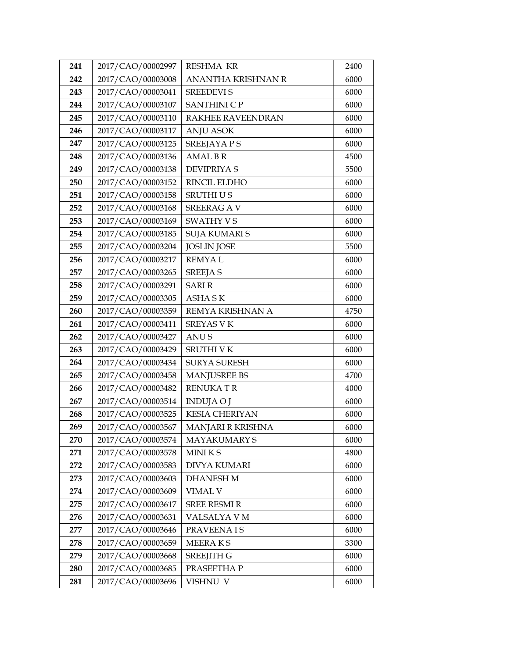| 241 | 2017/CAO/00002997 | <b>RESHMA KR</b>         | 2400 |
|-----|-------------------|--------------------------|------|
| 242 | 2017/CAO/00003008 | ANANTHA KRISHNAN R       | 6000 |
| 243 | 2017/CAO/00003041 | <b>SREEDEVIS</b>         | 6000 |
| 244 | 2017/CAO/00003107 | <b>SANTHINI C P</b>      | 6000 |
| 245 | 2017/CAO/00003110 | <b>RAKHEE RAVEENDRAN</b> | 6000 |
| 246 | 2017/CAO/00003117 | <b>ANJU ASOK</b>         | 6000 |
| 247 | 2017/CAO/00003125 | <b>SREEJAYA PS</b>       | 6000 |
| 248 | 2017/CAO/00003136 | <b>AMAL B R</b>          | 4500 |
| 249 | 2017/CAO/00003138 | <b>DEVIPRIYA S</b>       | 5500 |
| 250 | 2017/CAO/00003152 | RINCIL ELDHO             | 6000 |
| 251 | 2017/CAO/00003158 | <b>SRUTHIUS</b>          | 6000 |
| 252 | 2017/CAO/00003168 | <b>SREERAG AV</b>        | 6000 |
| 253 | 2017/CAO/00003169 | SWATHY V S               | 6000 |
| 254 | 2017/CAO/00003185 | <b>SUJA KUMARI S</b>     | 6000 |
| 255 | 2017/CAO/00003204 | <b>JOSLIN JOSE</b>       | 5500 |
| 256 | 2017/CAO/00003217 | <b>REMYAL</b>            | 6000 |
| 257 | 2017/CAO/00003265 | <b>SREEJA S</b>          | 6000 |
| 258 | 2017/CAO/00003291 | <b>SARIR</b>             | 6000 |
| 259 | 2017/CAO/00003305 | <b>ASHA SK</b>           | 6000 |
| 260 | 2017/CAO/00003359 | REMYA KRISHNAN A         | 4750 |
| 261 | 2017/CAO/00003411 | <b>SREYAS V K</b>        | 6000 |
| 262 | 2017/CAO/00003427 | <b>ANUS</b>              | 6000 |
| 263 | 2017/CAO/00003429 | <b>SRUTHI V K</b>        | 6000 |
| 264 | 2017/CAO/00003434 | <b>SURYA SURESH</b>      | 6000 |
| 265 | 2017/CAO/00003458 | <b>MANJUSREE BS</b>      | 4700 |
| 266 | 2017/CAO/00003482 | <b>RENUKATR</b>          | 4000 |
| 267 | 2017/CAO/00003514 | <b>INDUJA O J</b>        | 6000 |
| 268 | 2017/CAO/00003525 | <b>KESIA CHERIYAN</b>    | 6000 |
| 269 | 2017/CAO/00003567 | MANJARI R KRISHNA        | 6000 |
| 270 | 2017/CAO/00003574 | <b>MAYAKUMARY S</b>      | 6000 |
| 271 | 2017/CAO/00003578 | MINIKS                   | 4800 |
| 272 | 2017/CAO/00003583 | <b>DIVYA KUMARI</b>      | 6000 |
| 273 | 2017/CAO/00003603 | <b>DHANESH M</b>         | 6000 |
| 274 | 2017/CAO/00003609 | VIMAL V                  | 6000 |
| 275 | 2017/CAO/00003617 | <b>SREE RESMI R</b>      | 6000 |
| 276 | 2017/CAO/00003631 | VALSALYA V M             | 6000 |
| 277 | 2017/CAO/00003646 | PRAVEENA IS              | 6000 |
| 278 | 2017/CAO/00003659 | MEERAKS                  | 3300 |
| 279 | 2017/CAO/00003668 | <b>SREEJITH G</b>        | 6000 |
| 280 | 2017/CAO/00003685 | PRASEETHA P              | 6000 |
| 281 | 2017/CAO/00003696 | VISHNU V                 | 6000 |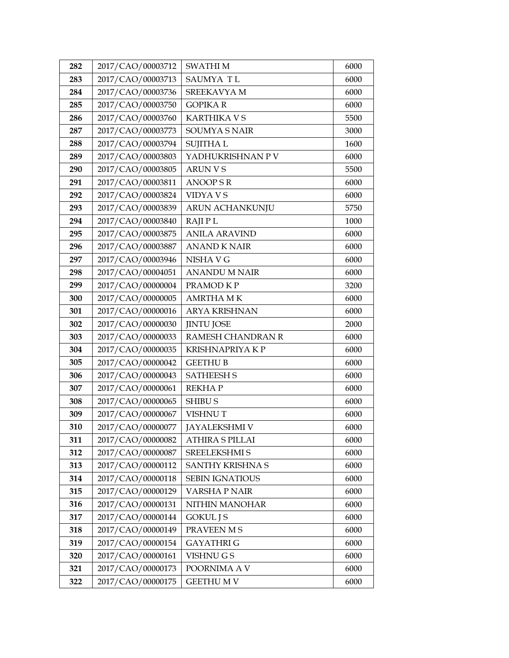| 282 | 2017/CAO/00003712 | <b>SWATHIM</b>          | 6000 |
|-----|-------------------|-------------------------|------|
| 283 | 2017/CAO/00003713 | SAUMYA TL               | 6000 |
| 284 | 2017/CAO/00003736 | SREEKAVYA M             | 6000 |
| 285 | 2017/CAO/00003750 | <b>GOPIKAR</b>          | 6000 |
| 286 | 2017/CAO/00003760 | <b>KARTHIKA V S</b>     | 5500 |
| 287 | 2017/CAO/00003773 | <b>SOUMYA S NAIR</b>    | 3000 |
| 288 | 2017/CAO/00003794 | <b>SUJITHAL</b>         | 1600 |
| 289 | 2017/CAO/00003803 | YADHUKRISHNAN P V       | 6000 |
| 290 | 2017/CAO/00003805 | <b>ARUN V S</b>         | 5500 |
| 291 | 2017/CAO/00003811 | <b>ANOOPSR</b>          | 6000 |
| 292 | 2017/CAO/00003824 | VIDYA V S               | 6000 |
| 293 | 2017/CAO/00003839 | <b>ARUN ACHANKUNJU</b>  | 5750 |
| 294 | 2017/CAO/00003840 | <b>RAJIPL</b>           | 1000 |
| 295 | 2017/CAO/00003875 | <b>ANILA ARAVIND</b>    | 6000 |
| 296 | 2017/CAO/00003887 | <b>ANAND K NAIR</b>     | 6000 |
| 297 | 2017/CAO/00003946 | NISHA V G               | 6000 |
| 298 | 2017/CAO/00004051 | <b>ANANDU M NAIR</b>    | 6000 |
| 299 | 2017/CAO/00000004 | PRAMOD KP               | 3200 |
| 300 | 2017/CAO/00000005 | <b>AMRTHA MK</b>        | 6000 |
| 301 | 2017/CAO/00000016 | <b>ARYA KRISHNAN</b>    | 6000 |
| 302 | 2017/CAO/00000030 | <b>JINTU JOSE</b>       | 2000 |
| 303 | 2017/CAO/00000033 | RAMESH CHANDRAN R       | 6000 |
| 304 | 2017/CAO/00000035 | <b>KRISHNAPRIYA K P</b> | 6000 |
| 305 | 2017/CAO/00000042 | <b>GEETHU B</b>         | 6000 |
| 306 | 2017/CAO/00000043 | <b>SATHEESH S</b>       | 6000 |
| 307 | 2017/CAO/00000061 | <b>REKHAP</b>           | 6000 |
| 308 | 2017/CAO/00000065 | <b>SHIBU S</b>          | 6000 |
| 309 | 2017/CAO/00000067 | <b>VISHNUT</b>          | 6000 |
| 310 | 2017/CAO/00000077 | <b>JAYALEKSHMI V</b>    | 6000 |
| 311 | 2017/CAO/00000082 | <b>ATHIRA S PILLAI</b>  | 6000 |
| 312 | 2017/CAO/00000087 | SREELEKSHMI S           | 6000 |
| 313 | 2017/CAO/00000112 | SANTHY KRISHNA S        | 6000 |
| 314 | 2017/CAO/00000118 | <b>SEBIN IGNATIOUS</b>  | 6000 |
| 315 | 2017/CAO/00000129 | <b>VARSHA P NAIR</b>    | 6000 |
| 316 | 2017/CAO/00000131 | NITHIN MANOHAR          | 6000 |
| 317 | 2017/CAO/00000144 | <b>GOKUL J S</b>        | 6000 |
| 318 | 2017/CAO/00000149 | PRAVEEN M S             | 6000 |
| 319 | 2017/CAO/00000154 | <b>GAYATHRIG</b>        | 6000 |
| 320 | 2017/CAO/00000161 | VISHNU G S              | 6000 |
| 321 | 2017/CAO/00000173 | POORNIMA A V            | 6000 |
| 322 | 2017/CAO/00000175 | <b>GEETHUMV</b>         | 6000 |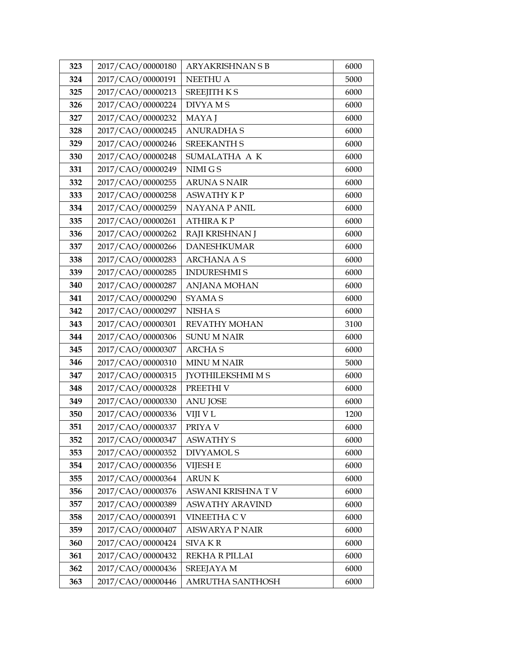| 323 | 2017/CAO/00000180 | <b>ARYAKRISHNAN S B</b>  | 6000 |
|-----|-------------------|--------------------------|------|
| 324 | 2017/CAO/00000191 | <b>NEETHU A</b>          | 5000 |
| 325 | 2017/CAO/00000213 | <b>SREEJITH K S</b>      | 6000 |
| 326 | 2017/CAO/00000224 | <b>DIVYAMS</b>           | 6000 |
| 327 | 2017/CAO/00000232 | MAYA J                   | 6000 |
| 328 | 2017/CAO/00000245 | <b>ANURADHAS</b>         | 6000 |
| 329 | 2017/CAO/00000246 | <b>SREEKANTH S</b>       | 6000 |
| 330 | 2017/CAO/00000248 | SUMALATHA A K            | 6000 |
| 331 | 2017/CAO/00000249 | NIMI G S                 | 6000 |
| 332 | 2017/CAO/00000255 | <b>ARUNA S NAIR</b>      | 6000 |
| 333 | 2017/CAO/00000258 | <b>ASWATHY KP</b>        | 6000 |
| 334 | 2017/CAO/00000259 | <b>NAYANA P ANIL</b>     | 6000 |
| 335 | 2017/CAO/00000261 | <b>ATHIRAKP</b>          | 6000 |
| 336 | 2017/CAO/00000262 | RAJI KRISHNAN J          | 6000 |
| 337 | 2017/CAO/00000266 | <b>DANESHKUMAR</b>       | 6000 |
| 338 | 2017/CAO/00000283 | <b>ARCHANA A S</b>       | 6000 |
| 339 | 2017/CAO/00000285 | <b>INDURESHMIS</b>       | 6000 |
| 340 | 2017/CAO/00000287 | <b>ANJANA MOHAN</b>      | 6000 |
| 341 | 2017/CAO/00000290 | <b>SYAMAS</b>            | 6000 |
| 342 | 2017/CAO/00000297 | NISHA S                  | 6000 |
| 343 | 2017/CAO/00000301 | <b>REVATHY MOHAN</b>     | 3100 |
| 344 | 2017/CAO/00000306 | <b>SUNU M NAIR</b>       | 6000 |
| 345 | 2017/CAO/00000307 | <b>ARCHAS</b>            | 6000 |
| 346 | 2017/CAO/00000310 | <b>MINU M NAIR</b>       | 5000 |
| 347 | 2017/CAO/00000315 | <b>JYOTHILEKSHMI M S</b> | 6000 |
| 348 | 2017/CAO/00000328 | PREETHI V                | 6000 |
| 349 | 2017/CAO/00000330 | <b>ANU JOSE</b>          | 6000 |
| 350 | 2017/CAO/00000336 | VIJI V L                 | 1200 |
| 351 | 2017/CAO/00000337 | PRIYA V                  | 6000 |
| 352 | 2017/CAO/00000347 | <b>ASWATHY S</b>         | 6000 |
| 353 | 2017/CAO/00000352 | <b>DIVYAMOL S</b>        | 6000 |
| 354 | 2017/CAO/00000356 | <b>VIJESH E</b>          | 6000 |
| 355 | 2017/CAO/00000364 | <b>ARUNK</b>             | 6000 |
| 356 | 2017/CAO/00000376 | ASWANI KRISHNA TV        | 6000 |
| 357 | 2017/CAO/00000389 | <b>ASWATHY ARAVIND</b>   | 6000 |
| 358 | 2017/CAO/00000391 | <b>VINEETHA C V</b>      | 6000 |
| 359 | 2017/CAO/00000407 | <b>AISWARYA P NAIR</b>   | 6000 |
| 360 | 2017/CAO/00000424 | <b>SIVAKR</b>            | 6000 |
| 361 | 2017/CAO/00000432 | REKHA R PILLAI           | 6000 |
| 362 | 2017/CAO/00000436 | <b>SREEJAYA M</b>        | 6000 |
| 363 | 2017/CAO/00000446 | AMRUTHA SANTHOSH         | 6000 |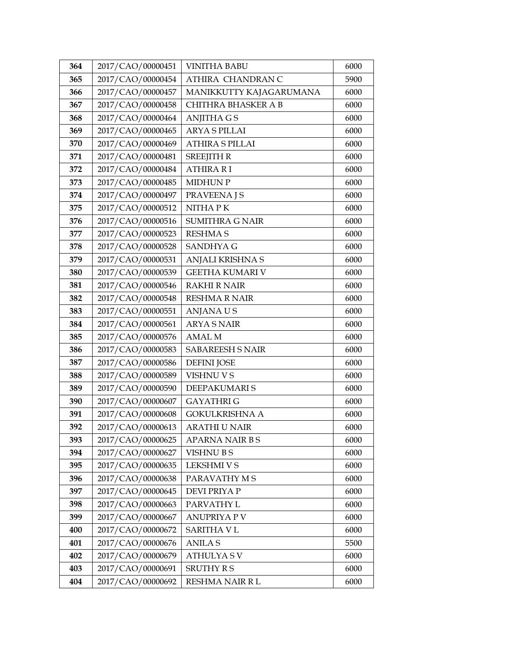| 364 | 2017/CAO/00000451 | <b>VINITHA BABU</b>     | 6000 |
|-----|-------------------|-------------------------|------|
| 365 | 2017/CAO/00000454 | ATHIRA CHANDRAN C       | 5900 |
| 366 | 2017/CAO/00000457 | MANIKKUTTY KAJAGARUMANA | 6000 |
| 367 | 2017/CAO/00000458 | CHITHRA BHASKER A B     | 6000 |
| 368 | 2017/CAO/00000464 | <b>ANJITHA G S</b>      | 6000 |
| 369 | 2017/CAO/00000465 | <b>ARYA S PILLAI</b>    | 6000 |
| 370 | 2017/CAO/00000469 | <b>ATHIRA S PILLAI</b>  | 6000 |
| 371 | 2017/CAO/00000481 | <b>SREEJITH R</b>       | 6000 |
| 372 | 2017/CAO/00000484 | <b>ATHIRA RI</b>        | 6000 |
| 373 | 2017/CAO/00000485 | <b>MIDHUN P</b>         | 6000 |
| 374 | 2017/CAO/00000497 | <b>PRAVEENA J S</b>     | 6000 |
| 375 | 2017/CAO/00000512 | <b>NITHAPK</b>          | 6000 |
| 376 | 2017/CAO/00000516 | <b>SUMITHRA G NAIR</b>  | 6000 |
| 377 | 2017/CAO/00000523 | <b>RESHMA S</b>         | 6000 |
| 378 | 2017/CAO/00000528 | <b>SANDHYA G</b>        | 6000 |
| 379 | 2017/CAO/00000531 | ANJALI KRISHNA S        | 6000 |
| 380 | 2017/CAO/00000539 | <b>GEETHA KUMARI V</b>  | 6000 |
| 381 | 2017/CAO/00000546 | <b>RAKHI R NAIR</b>     | 6000 |
| 382 | 2017/CAO/00000548 | <b>RESHMA R NAIR</b>    | 6000 |
| 383 | 2017/CAO/00000551 | <b>ANJANAUS</b>         | 6000 |
| 384 | 2017/CAO/00000561 | <b>ARYA S NAIR</b>      | 6000 |
| 385 | 2017/CAO/00000576 | <b>AMAL M</b>           | 6000 |
| 386 | 2017/CAO/00000583 | <b>SABAREESH S NAIR</b> | 6000 |
| 387 | 2017/CAO/00000586 | <b>DEFINI JOSE</b>      | 6000 |
| 388 | 2017/CAO/00000589 | VISHNU V S              | 6000 |
| 389 | 2017/CAO/00000590 | DEEPAKUMARI S           | 6000 |
| 390 | 2017/CAO/00000607 | <b>GAYATHRIG</b>        | 6000 |
| 391 | 2017/CAO/00000608 | <b>GOKULKRISHNA A</b>   | 6000 |
| 392 | 2017/CAO/00000613 | <b>ARATHI U NAIR</b>    | 6000 |
| 393 | 2017/CAO/00000625 | APARNA NAIR BS          | 6000 |
| 394 | 2017/CAO/00000627 | <b>VISHNU B S</b>       | 6000 |
| 395 | 2017/CAO/00000635 | <b>LEKSHMI V S</b>      | 6000 |
| 396 | 2017/CAO/00000638 | PARAVATHY M S           | 6000 |
| 397 | 2017/CAO/00000645 | <b>DEVI PRIYA P</b>     | 6000 |
| 398 | 2017/CAO/00000663 | PARVATHY L              | 6000 |
| 399 | 2017/CAO/00000667 | <b>ANUPRIYA P V</b>     | 6000 |
| 400 | 2017/CAO/00000672 | <b>SARITHA V L</b>      | 6000 |
| 401 | 2017/CAO/00000676 | <b>ANILAS</b>           | 5500 |
| 402 | 2017/CAO/00000679 | <b>ATHULYASV</b>        | 6000 |
| 403 | 2017/CAO/00000691 | <b>SRUTHY R S</b>       | 6000 |
| 404 | 2017/CAO/00000692 | RESHMA NAIR R L         | 6000 |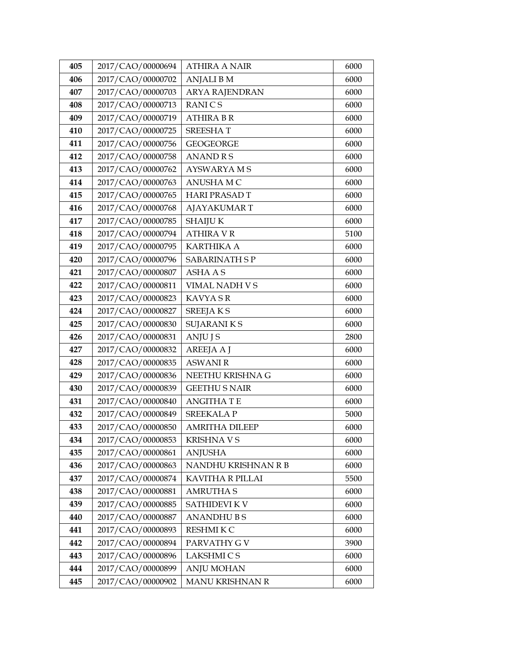| 405 | 2017/CAO/00000694 | <b>ATHIRA A NAIR</b>  | 6000 |
|-----|-------------------|-----------------------|------|
| 406 | 2017/CAO/00000702 | <b>ANJALI B M</b>     | 6000 |
| 407 | 2017/CAO/00000703 | <b>ARYA RAJENDRAN</b> | 6000 |
| 408 | 2017/CAO/00000713 | <b>RANICS</b>         | 6000 |
| 409 | 2017/CAO/00000719 | <b>ATHIRA B R</b>     | 6000 |
| 410 | 2017/CAO/00000725 | <b>SREESHAT</b>       | 6000 |
| 411 | 2017/CAO/00000756 | <b>GEOGEORGE</b>      | 6000 |
| 412 | 2017/CAO/00000758 | <b>ANANDRS</b>        | 6000 |
| 413 | 2017/CAO/00000762 | <b>AYSWARYAMS</b>     | 6000 |
| 414 | 2017/CAO/00000763 | ANUSHA M C            | 6000 |
| 415 | 2017/CAO/00000765 | <b>HARI PRASAD T</b>  | 6000 |
| 416 | 2017/CAO/00000768 | <b>AJAYAKUMART</b>    | 6000 |
| 417 | 2017/CAO/00000785 | <b>SHAIJU K</b>       | 6000 |
| 418 | 2017/CAO/00000794 | <b>ATHIRA V R</b>     | 5100 |
| 419 | 2017/CAO/00000795 | <b>KARTHIKA A</b>     | 6000 |
| 420 | 2017/CAO/00000796 | <b>SABARINATH SP</b>  | 6000 |
| 421 | 2017/CAO/00000807 | <b>ASHA A S</b>       | 6000 |
| 422 | 2017/CAO/00000811 | VIMAL NADH V S        | 6000 |
| 423 | 2017/CAO/00000823 | <b>KAVYA SR</b>       | 6000 |
| 424 | 2017/CAO/00000827 | <b>SREEJAKS</b>       | 6000 |
| 425 | 2017/CAO/00000830 | <b>SUJARANIKS</b>     | 6000 |
| 426 | 2017/CAO/00000831 | ANJU J S              | 2800 |
| 427 | 2017/CAO/00000832 | <b>AREEJA A J</b>     | 6000 |
| 428 | 2017/CAO/00000835 | <b>ASWANI R</b>       | 6000 |
| 429 | 2017/CAO/00000836 | NEETHU KRISHNA G      | 6000 |
| 430 | 2017/CAO/00000839 | <b>GEETHU S NAIR</b>  | 6000 |
| 431 | 2017/CAO/00000840 | <b>ANGITHA T E</b>    | 6000 |
| 432 | 2017/CAO/00000849 | <b>SREEKALAP</b>      | 5000 |
| 433 | 2017/CAO/00000850 | <b>AMRITHA DILEEP</b> | 6000 |
| 434 | 2017/CAO/00000853 | <b>KRISHNAVS</b>      | 6000 |
| 435 | 2017/CAO/00000861 | <b>ANJUSHA</b>        | 6000 |
| 436 | 2017/CAO/00000863 | NANDHU KRISHNAN R B   | 6000 |
| 437 | 2017/CAO/00000874 | KAVITHA R PILLAI      | 5500 |
| 438 | 2017/CAO/00000881 | <b>AMRUTHA S</b>      | 6000 |
| 439 | 2017/CAO/00000885 | <b>SATHIDEVI K V</b>  | 6000 |
| 440 | 2017/CAO/00000887 | <b>ANANDHUBS</b>      | 6000 |
| 441 | 2017/CAO/00000893 | RESHMI K C            | 6000 |
| 442 | 2017/CAO/00000894 | PARVATHY G V          | 3900 |
| 443 | 2017/CAO/00000896 | <b>LAKSHMI CS</b>     | 6000 |
| 444 | 2017/CAO/00000899 | <b>ANJU MOHAN</b>     | 6000 |
| 445 | 2017/CAO/00000902 | MANU KRISHNAN R       | 6000 |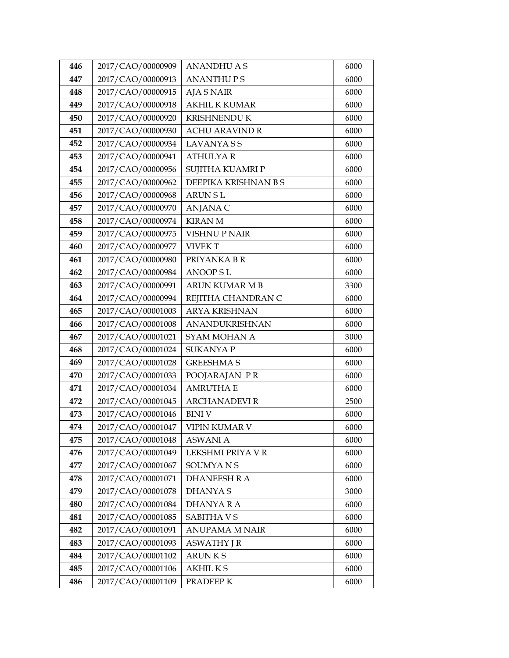| 446 | 2017/CAO/00000909 | <b>ANANDHU A S</b>    | 6000 |
|-----|-------------------|-----------------------|------|
| 447 | 2017/CAO/00000913 | <b>ANANTHUPS</b>      | 6000 |
| 448 | 2017/CAO/00000915 | <b>AJA S NAIR</b>     | 6000 |
| 449 | 2017/CAO/00000918 | <b>AKHIL K KUMAR</b>  | 6000 |
| 450 | 2017/CAO/00000920 | <b>KRISHNENDU K</b>   | 6000 |
| 451 | 2017/CAO/00000930 | <b>ACHU ARAVIND R</b> | 6000 |
| 452 | 2017/CAO/00000934 | <b>LAVANYASS</b>      | 6000 |
| 453 | 2017/CAO/00000941 | <b>ATHULYAR</b>       | 6000 |
| 454 | 2017/CAO/00000956 | SUJITHA KUAMRI P      | 6000 |
| 455 | 2017/CAO/00000962 | DEEPIKA KRISHNAN B S  | 6000 |
| 456 | 2017/CAO/00000968 | <b>ARUNSL</b>         | 6000 |
| 457 | 2017/CAO/00000970 | <b>ANJANA C</b>       | 6000 |
| 458 | 2017/CAO/00000974 | <b>KIRAN M</b>        | 6000 |
| 459 | 2017/CAO/00000975 | <b>VISHNU P NAIR</b>  | 6000 |
| 460 | 2017/CAO/00000977 | <b>VIVEK T</b>        | 6000 |
| 461 | 2017/CAO/00000980 | PRIYANKA BR           | 6000 |
| 462 | 2017/CAO/00000984 | <b>ANOOPSL</b>        | 6000 |
| 463 | 2017/CAO/00000991 | <b>ARUN KUMAR M B</b> | 3300 |
| 464 | 2017/CAO/00000994 | REJITHA CHANDRAN C    | 6000 |
| 465 | 2017/CAO/00001003 | <b>ARYA KRISHNAN</b>  | 6000 |
| 466 | 2017/CAO/00001008 | ANANDUKRISHNAN        | 6000 |
| 467 | 2017/CAO/00001021 | SYAM MOHAN A          | 3000 |
| 468 | 2017/CAO/00001024 | <b>SUKANYA P</b>      | 6000 |
| 469 | 2017/CAO/00001028 | <b>GREESHMA S</b>     | 6000 |
| 470 | 2017/CAO/00001033 | POOJARAJAN PR         | 6000 |
| 471 | 2017/CAO/00001034 | <b>AMRUTHA E</b>      | 6000 |
| 472 | 2017/CAO/00001045 | <b>ARCHANADEVI R</b>  | 2500 |
| 473 | 2017/CAO/00001046 | <b>BINIV</b>          | 6000 |
| 474 | 2017/CAO/00001047 | VIPIN KUMAR V         | 6000 |
| 475 | 2017/CAO/00001048 | <b>ASWANI A</b>       | 6000 |
| 476 | 2017/CAO/00001049 | LEKSHMI PRIYA V R     | 6000 |
| 477 | 2017/CAO/00001067 | <b>SOUMYANS</b>       | 6000 |
| 478 | 2017/CAO/00001071 | <b>DHANEESH R A</b>   | 6000 |
| 479 | 2017/CAO/00001078 | <b>DHANYAS</b>        | 3000 |
| 480 | 2017/CAO/00001084 | <b>DHANYARA</b>       | 6000 |
| 481 | 2017/CAO/00001085 | <b>SABITHAVS</b>      | 6000 |
| 482 | 2017/CAO/00001091 | <b>ANUPAMA M NAIR</b> | 6000 |
| 483 | 2017/CAO/00001093 | <b>ASWATHY J R</b>    | 6000 |
| 484 | 2017/CAO/00001102 | <b>ARUNKS</b>         | 6000 |
| 485 | 2017/CAO/00001106 | <b>AKHILKS</b>        | 6000 |
| 486 | 2017/CAO/00001109 | PRADEEP K             | 6000 |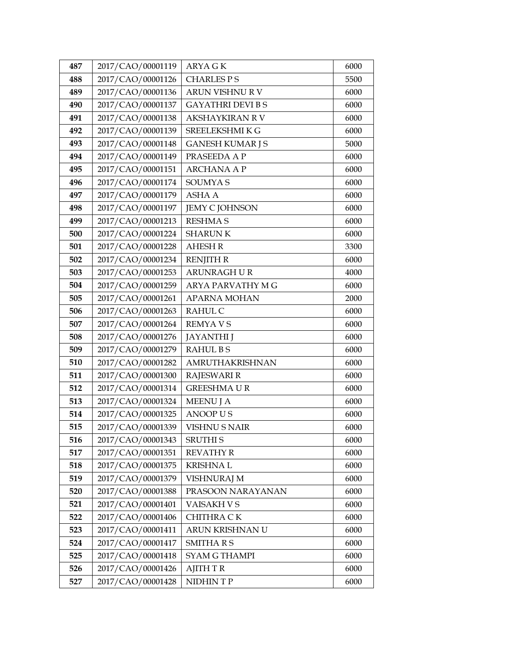| 487 | 2017/CAO/00001119 | <b>ARYAGK</b>            | 6000 |
|-----|-------------------|--------------------------|------|
| 488 | 2017/CAO/00001126 | <b>CHARLES PS</b>        | 5500 |
| 489 | 2017/CAO/00001136 | ARUN VISHNU R V          | 6000 |
| 490 | 2017/CAO/00001137 | <b>GAYATHRI DEVI B S</b> | 6000 |
| 491 | 2017/CAO/00001138 | <b>AKSHAYKIRAN RV</b>    | 6000 |
| 492 | 2017/CAO/00001139 | SREELEKSHMIKG            | 6000 |
| 493 | 2017/CAO/00001148 | <b>GANESH KUMAR J S</b>  | 5000 |
| 494 | 2017/CAO/00001149 | PRASEEDA A P             | 6000 |
| 495 | 2017/CAO/00001151 | <b>ARCHANA A P</b>       | 6000 |
| 496 | 2017/CAO/00001174 | <b>SOUMYAS</b>           | 6000 |
| 497 | 2017/CAO/00001179 | <b>ASHA A</b>            | 6000 |
| 498 | 2017/CAO/00001197 | <b>JEMY C JOHNSON</b>    | 6000 |
| 499 | 2017/CAO/00001213 | <b>RESHMA S</b>          | 6000 |
| 500 | 2017/CAO/00001224 | <b>SHARUNK</b>           | 6000 |
| 501 | 2017/CAO/00001228 | <b>AHESH R</b>           | 3300 |
| 502 | 2017/CAO/00001234 | <b>RENJITH R</b>         | 6000 |
| 503 | 2017/CAO/00001253 | ARUNRAGH UR              | 4000 |
| 504 | 2017/CAO/00001259 | ARYA PARVATHY M G        | 6000 |
| 505 | 2017/CAO/00001261 | <b>APARNA MOHAN</b>      | 2000 |
| 506 | 2017/CAO/00001263 | <b>RAHUL C</b>           | 6000 |
| 507 | 2017/CAO/00001264 | <b>REMYAVS</b>           | 6000 |
| 508 | 2017/CAO/00001276 | <b>JAYANTHI</b> J        | 6000 |
| 509 | 2017/CAO/00001279 | <b>RAHULBS</b>           | 6000 |
| 510 | 2017/CAO/00001282 | AMRUTHAKRISHNAN          | 6000 |
| 511 | 2017/CAO/00001300 | <b>RAJESWARI R</b>       | 6000 |
| 512 | 2017/CAO/00001314 | <b>GREESHMAUR</b>        | 6000 |
| 513 | 2017/CAO/00001324 | <b>MEENU J A</b>         | 6000 |
| 514 | 2017/CAO/00001325 | <b>ANOOP US</b>          | 6000 |
| 515 | 2017/CAO/00001339 | <b>VISHNU S NAIR</b>     | 6000 |
| 516 | 2017/CAO/00001343 | <b>SRUTHI S</b>          | 6000 |
| 517 | 2017/CAO/00001351 | <b>REVATHY R</b>         | 6000 |
| 518 | 2017/CAO/00001375 | <b>KRISHNAL</b>          | 6000 |
| 519 | 2017/CAO/00001379 | <b>VISHNURAJ M</b>       | 6000 |
| 520 | 2017/CAO/00001388 | PRASOON NARAYANAN        | 6000 |
| 521 | 2017/CAO/00001401 | VAISAKH V S              | 6000 |
| 522 | 2017/CAO/00001406 | CHITHRA CK               | 6000 |
| 523 | 2017/CAO/00001411 | ARUN KRISHNAN U          | 6000 |
| 524 | 2017/CAO/00001417 | <b>SMITHARS</b>          | 6000 |
| 525 | 2017/CAO/00001418 | <b>SYAM G THAMPI</b>     | 6000 |
| 526 | 2017/CAO/00001426 | <b>AJITH T R</b>         | 6000 |
| 527 | 2017/CAO/00001428 | NIDHINTP                 | 6000 |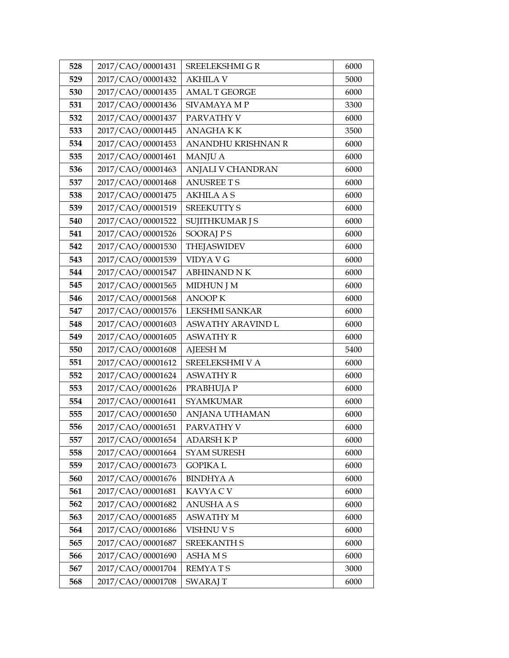| 528 | 2017/CAO/00001431 | SREELEKSHMI G R          | 6000 |
|-----|-------------------|--------------------------|------|
| 529 | 2017/CAO/00001432 | <b>AKHILA V</b>          | 5000 |
| 530 | 2017/CAO/00001435 | <b>AMAL T GEORGE</b>     | 6000 |
| 531 | 2017/CAO/00001436 | SIVAMAYA MP              | 3300 |
| 532 | 2017/CAO/00001437 | PARVATHY V               | 6000 |
| 533 | 2017/CAO/00001445 | <b>ANAGHAKK</b>          | 3500 |
| 534 | 2017/CAO/00001453 | ANANDHU KRISHNAN R       | 6000 |
| 535 | 2017/CAO/00001461 | <b>MANJU A</b>           | 6000 |
| 536 | 2017/CAO/00001463 | <b>ANJALI V CHANDRAN</b> | 6000 |
| 537 | 2017/CAO/00001468 | <b>ANUSREE T S</b>       | 6000 |
| 538 | 2017/CAO/00001475 | <b>AKHILA A S</b>        | 6000 |
| 539 | 2017/CAO/00001519 | <b>SREEKUTTY S</b>       | 6000 |
| 540 | 2017/CAO/00001522 | <b>SUJITHKUMAR J S</b>   | 6000 |
| 541 | 2017/CAO/00001526 | <b>SOORAJPS</b>          | 6000 |
| 542 | 2017/CAO/00001530 | <b>THEJASWIDEV</b>       | 6000 |
| 543 | 2017/CAO/00001539 | VIDYA V G                | 6000 |
| 544 | 2017/CAO/00001547 | <b>ABHINAND NK</b>       | 6000 |
| 545 | 2017/CAO/00001565 | <b>MIDHUN J M</b>        | 6000 |
| 546 | 2017/CAO/00001568 | <b>ANOOPK</b>            | 6000 |
| 547 | 2017/CAO/00001576 | <b>LEKSHMI SANKAR</b>    | 6000 |
| 548 | 2017/CAO/00001603 | <b>ASWATHY ARAVIND L</b> | 6000 |
| 549 | 2017/CAO/00001605 | <b>ASWATHY R</b>         | 6000 |
| 550 | 2017/CAO/00001608 | <b>AJEESH M</b>          | 5400 |
| 551 | 2017/CAO/00001612 | SREELEKSHMI V A          | 6000 |
| 552 | 2017/CAO/00001624 | <b>ASWATHY R</b>         | 6000 |
| 553 | 2017/CAO/00001626 | PRABHUJA P               | 6000 |
| 554 | 2017/CAO/00001641 | <b>SYAMKUMAR</b>         | 6000 |
| 555 | 2017/CAO/00001650 | ANJANA UTHAMAN           | 6000 |
| 556 | 2017/CAO/00001651 | PARVATHY V               | 6000 |
| 557 | 2017/CAO/00001654 | <b>ADARSH KP</b>         | 6000 |
| 558 | 2017/CAO/00001664 | <b>SYAM SURESH</b>       | 6000 |
| 559 | 2017/CAO/00001673 | <b>GOPIKAL</b>           | 6000 |
| 560 | 2017/CAO/00001676 | <b>BINDHYA A</b>         | 6000 |
| 561 | 2017/CAO/00001681 | KAVYA C V                | 6000 |
| 562 | 2017/CAO/00001682 | ANUSHA A S               | 6000 |
| 563 | 2017/CAO/00001685 | <b>ASWATHY M</b>         | 6000 |
| 564 | 2017/CAO/00001686 | VISHNU V S               | 6000 |
| 565 | 2017/CAO/00001687 | <b>SREEKANTH S</b>       | 6000 |
| 566 | 2017/CAO/00001690 | <b>ASHAMS</b>            | 6000 |
| 567 | 2017/CAO/00001704 | <b>REMYATS</b>           | 3000 |
| 568 | 2017/CAO/00001708 | <b>SWARAJ T</b>          | 6000 |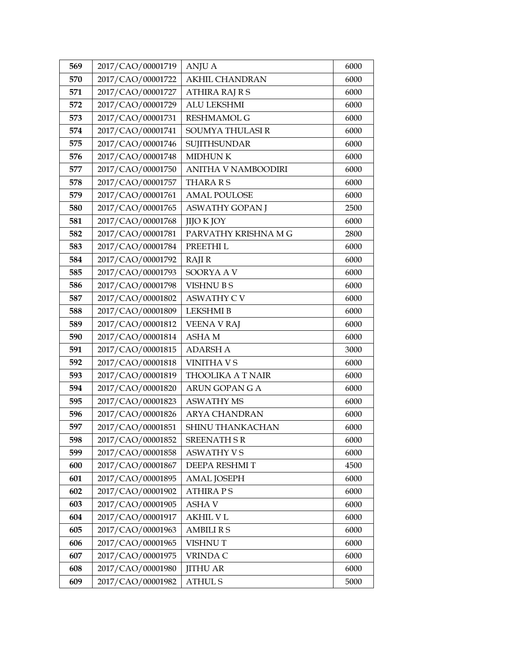| 569 | 2017/CAO/00001719 | <b>ANJU A</b>            | 6000 |
|-----|-------------------|--------------------------|------|
| 570 | 2017/CAO/00001722 | <b>AKHIL CHANDRAN</b>    | 6000 |
| 571 | 2017/CAO/00001727 | <b>ATHIRA RAJ R S</b>    | 6000 |
| 572 | 2017/CAO/00001729 | <b>ALU LEKSHMI</b>       | 6000 |
| 573 | 2017/CAO/00001731 | <b>RESHMAMOL G</b>       | 6000 |
| 574 | 2017/CAO/00001741 | SOUMYA THULASI R         | 6000 |
| 575 | 2017/CAO/00001746 | <b>SUJITHSUNDAR</b>      | 6000 |
| 576 | 2017/CAO/00001748 | <b>MIDHUNK</b>           | 6000 |
| 577 | 2017/CAO/00001750 | ANITHA V NAMBOODIRI      | 6000 |
| 578 | 2017/CAO/00001757 | <b>THARARS</b>           | 6000 |
| 579 | 2017/CAO/00001761 | <b>AMAL POULOSE</b>      | 6000 |
| 580 | 2017/CAO/00001765 | ASWATHY GOPAN J          | 2500 |
| 581 | 2017/CAO/00001768 | <b>JIJO K JOY</b>        | 6000 |
| 582 | 2017/CAO/00001781 | PARVATHY KRISHNA M G     | 2800 |
| 583 | 2017/CAO/00001784 | PREETHI L                | 6000 |
| 584 | 2017/CAO/00001792 | <b>RAJIR</b>             | 6000 |
| 585 | 2017/CAO/00001793 | SOORYA A V               | 6000 |
| 586 | 2017/CAO/00001798 | <b>VISHNUBS</b>          | 6000 |
| 587 | 2017/CAO/00001802 | <b>ASWATHY C V</b>       | 6000 |
| 588 | 2017/CAO/00001809 | <b>LEKSHMI B</b>         | 6000 |
| 589 | 2017/CAO/00001812 | VEENA V RAJ              | 6000 |
| 590 | 2017/CAO/00001814 | <b>ASHAM</b>             | 6000 |
| 591 | 2017/CAO/00001815 | <b>ADARSH A</b>          | 3000 |
| 592 | 2017/CAO/00001818 | <b>VINITHA V S</b>       | 6000 |
| 593 | 2017/CAO/00001819 | <b>THOOLIKA A T NAIR</b> | 6000 |
| 594 | 2017/CAO/00001820 | <b>ARUN GOPAN G A</b>    | 6000 |
| 595 | 2017/CAO/00001823 | <b>ASWATHY MS</b>        | 6000 |
| 596 | 2017/CAO/00001826 | <b>ARYA CHANDRAN</b>     | 6000 |
| 597 | 2017/CAO/00001851 | SHINU THANKACHAN         | 6000 |
| 598 | 2017/CAO/00001852 | <b>SREENATH SR</b>       | 6000 |
| 599 | 2017/CAO/00001858 | <b>ASWATHY VS</b>        | 6000 |
| 600 | 2017/CAO/00001867 | DEEPA RESHMIT            | 4500 |
| 601 | 2017/CAO/00001895 | <b>AMAL JOSEPH</b>       | 6000 |
| 602 | 2017/CAO/00001902 | <b>ATHIRA PS</b>         | 6000 |
| 603 | 2017/CAO/00001905 | <b>ASHAV</b>             | 6000 |
| 604 | 2017/CAO/00001917 | AKHIL V L                | 6000 |
| 605 | 2017/CAO/00001963 | <b>AMBILIRS</b>          | 6000 |
| 606 | 2017/CAO/00001965 | <b>VISHNUT</b>           | 6000 |
| 607 | 2017/CAO/00001975 | VRINDA C                 | 6000 |
| 608 | 2017/CAO/00001980 | <b>JITHU AR</b>          | 6000 |
| 609 | 2017/CAO/00001982 | <b>ATHUL S</b>           | 5000 |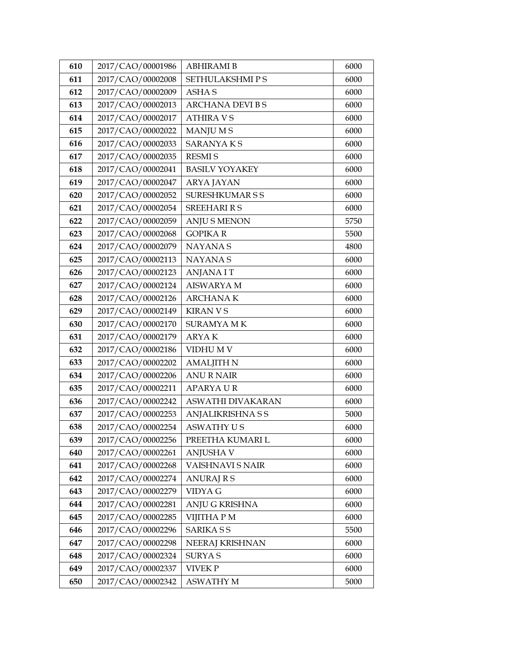| 610 | 2017/CAO/00001986 | <b>ABHIRAMI B</b>       | 6000 |
|-----|-------------------|-------------------------|------|
| 611 | 2017/CAO/00002008 | <b>SETHULAKSHMIPS</b>   | 6000 |
| 612 | 2017/CAO/00002009 | <b>ASHAS</b>            | 6000 |
| 613 | 2017/CAO/00002013 | <b>ARCHANA DEVI B S</b> | 6000 |
| 614 | 2017/CAO/00002017 | <b>ATHIRA V S</b>       | 6000 |
| 615 | 2017/CAO/00002022 | MANJU M S               | 6000 |
| 616 | 2017/CAO/00002033 | <b>SARANYAKS</b>        | 6000 |
| 617 | 2017/CAO/00002035 | <b>RESMIS</b>           | 6000 |
| 618 | 2017/CAO/00002041 | <b>BASILV YOYAKEY</b>   | 6000 |
| 619 | 2017/CAO/00002047 | <b>ARYA JAYAN</b>       | 6000 |
| 620 | 2017/CAO/00002052 | <b>SURESHKUMARSS</b>    | 6000 |
| 621 | 2017/CAO/00002054 | <b>SREEHARI R S</b>     | 6000 |
| 622 | 2017/CAO/00002059 | <b>ANJU S MENON</b>     | 5750 |
| 623 | 2017/CAO/00002068 | <b>GOPIKAR</b>          | 5500 |
| 624 | 2017/CAO/00002079 | <b>NAYANAS</b>          | 4800 |
| 625 | 2017/CAO/00002113 | <b>NAYANAS</b>          | 6000 |
| 626 | 2017/CAO/00002123 | <b>ANJANA I T</b>       | 6000 |
| 627 | 2017/CAO/00002124 | <b>AISWARYA M</b>       | 6000 |
| 628 | 2017/CAO/00002126 | <b>ARCHANAK</b>         | 6000 |
| 629 | 2017/CAO/00002149 | <b>KIRAN V S</b>        | 6000 |
| 630 | 2017/CAO/00002170 | <b>SURAMYA MK</b>       | 6000 |
| 631 | 2017/CAO/00002179 | <b>ARYAK</b>            | 6000 |
| 632 | 2017/CAO/00002186 | VIDHU M V               | 6000 |
| 633 | 2017/CAO/00002202 | <b>AMALJITH N</b>       | 6000 |
| 634 | 2017/CAO/00002206 | <b>ANU R NAIR</b>       | 6000 |
| 635 | 2017/CAO/00002211 | <b>APARYAUR</b>         | 6000 |
| 636 | 2017/CAO/00002242 | ASWATHI DIVAKARAN       | 6000 |
| 637 | 2017/CAO/00002253 | <b>ANJALIKRISHNASS</b>  | 5000 |
| 638 | 2017/CAO/00002254 | <b>ASWATHY US</b>       | 6000 |
| 639 | 2017/CAO/00002256 | PREETHA KUMARI L        | 6000 |
| 640 | 2017/CAO/00002261 | <b>ANJUSHA V</b>        | 6000 |
| 641 | 2017/CAO/00002268 | VAISHNAVI S NAIR        | 6000 |
| 642 | 2017/CAO/00002274 | ANURAJ R S              | 6000 |
| 643 | 2017/CAO/00002279 | VIDYA G                 | 6000 |
| 644 | 2017/CAO/00002281 | ANJU G KRISHNA          | 6000 |
| 645 | 2017/CAO/00002285 | VIJITHA P M             | 6000 |
| 646 | 2017/CAO/00002296 | <b>SARIKASS</b>         | 5500 |
| 647 | 2017/CAO/00002298 | NEERAJ KRISHNAN         | 6000 |
| 648 | 2017/CAO/00002324 | <b>SURYAS</b>           | 6000 |
| 649 | 2017/CAO/00002337 | VIVEK P                 | 6000 |
| 650 | 2017/CAO/00002342 | ASWATHY M               | 5000 |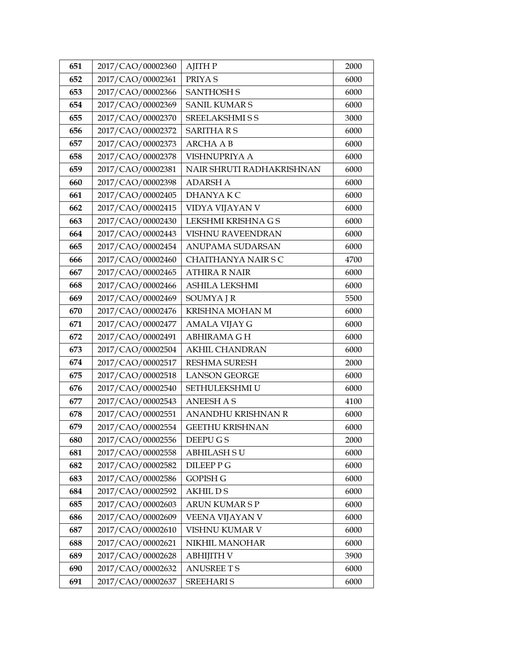| 651 | 2017/CAO/00002360 | <b>AJITH P</b>             | 2000 |
|-----|-------------------|----------------------------|------|
| 652 | 2017/CAO/00002361 | PRIYA <sub>S</sub>         | 6000 |
| 653 | 2017/CAO/00002366 | <b>SANTHOSH S</b>          | 6000 |
| 654 | 2017/CAO/00002369 | <b>SANIL KUMAR S</b>       | 6000 |
| 655 | 2017/CAO/00002370 | SREELAKSHMI S S            | 3000 |
| 656 | 2017/CAO/00002372 | <b>SARITHARS</b>           | 6000 |
| 657 | 2017/CAO/00002373 | <b>ARCHA A B</b>           | 6000 |
| 658 | 2017/CAO/00002378 | VISHNUPRIYA A              | 6000 |
| 659 | 2017/CAO/00002381 | NAIR SHRUTI RADHAKRISHNAN  | 6000 |
| 660 | 2017/CAO/00002398 | <b>ADARSH A</b>            | 6000 |
| 661 | 2017/CAO/00002405 | DHANYA KC                  | 6000 |
| 662 | 2017/CAO/00002415 | VIDYA VIJAYAN V            | 6000 |
| 663 | 2017/CAO/00002430 | LEKSHMI KRISHNA G S        | 6000 |
| 664 | 2017/CAO/00002443 | VISHNU RAVEENDRAN          | 6000 |
| 665 | 2017/CAO/00002454 | ANUPAMA SUDARSAN           | 6000 |
| 666 | 2017/CAO/00002460 | <b>CHAITHANYA NAIR S C</b> | 4700 |
| 667 | 2017/CAO/00002465 | <b>ATHIRA R NAIR</b>       | 6000 |
| 668 | 2017/CAO/00002466 | <b>ASHILA LEKSHMI</b>      | 6000 |
| 669 | 2017/CAO/00002469 | SOUMYA J R                 | 5500 |
| 670 | 2017/CAO/00002476 | KRISHNA MOHAN M            | 6000 |
| 671 | 2017/CAO/00002477 | AMALA VIJAY G              | 6000 |
| 672 | 2017/CAO/00002491 | ABHIRAMA G H               | 6000 |
| 673 | 2017/CAO/00002504 | <b>AKHIL CHANDRAN</b>      | 6000 |
| 674 | 2017/CAO/00002517 | <b>RESHMA SURESH</b>       | 2000 |
| 675 | 2017/CAO/00002518 | <b>LANSON GEORGE</b>       | 6000 |
| 676 | 2017/CAO/00002540 | SETHULEKSHMI U             | 6000 |
| 677 | 2017/CAO/00002543 | <b>ANEESH A S</b>          | 4100 |
| 678 | 2017/CAO/00002551 | ANANDHU KRISHNAN R         | 6000 |
| 679 | 2017/CAO/00002554 | <b>GEETHU KRISHNAN</b>     | 6000 |
| 680 | 2017/CAO/00002556 | DEEPU G S                  | 2000 |
| 681 | 2017/CAO/00002558 | ABHILASH SU                | 6000 |
| 682 | 2017/CAO/00002582 | DILEEP P G                 | 6000 |
| 683 | 2017/CAO/00002586 | <b>GOPISH G</b>            | 6000 |
| 684 | 2017/CAO/00002592 | <b>AKHILDS</b>             | 6000 |
| 685 | 2017/CAO/00002603 | ARUN KUMAR S P             | 6000 |
| 686 | 2017/CAO/00002609 | VEENA VIJAYAN V            | 6000 |
| 687 | 2017/CAO/00002610 | VISHNU KUMAR V             | 6000 |
| 688 | 2017/CAO/00002621 | NIKHIL MANOHAR             | 6000 |
| 689 | 2017/CAO/00002628 | <b>ABHIJITH V</b>          | 3900 |
| 690 | 2017/CAO/00002632 | <b>ANUSREE T S</b>         | 6000 |
| 691 | 2017/CAO/00002637 | <b>SREEHARIS</b>           | 6000 |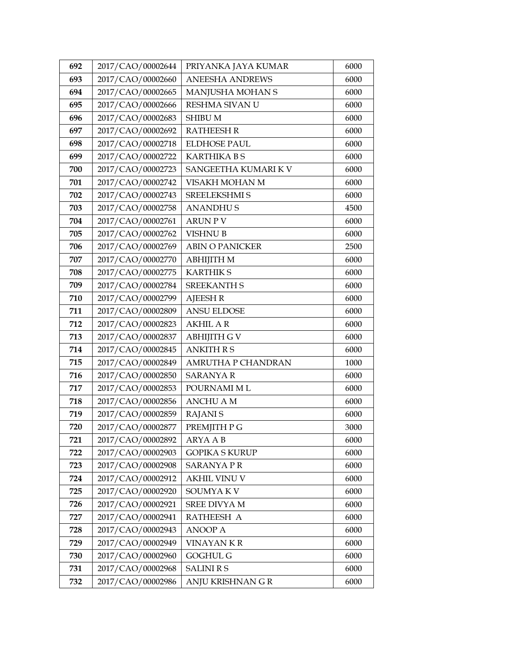| 692 | 2017/CAO/00002644 | PRIYANKA JAYA KUMAR       | 6000 |
|-----|-------------------|---------------------------|------|
| 693 | 2017/CAO/00002660 | <b>ANEESHA ANDREWS</b>    | 6000 |
| 694 | 2017/CAO/00002665 | MANJUSHA MOHAN S          | 6000 |
| 695 | 2017/CAO/00002666 | RESHMA SIVAN U            | 6000 |
| 696 | 2017/CAO/00002683 | <b>SHIBU M</b>            | 6000 |
| 697 | 2017/CAO/00002692 | <b>RATHEESH R</b>         | 6000 |
| 698 | 2017/CAO/00002718 | <b>ELDHOSE PAUL</b>       | 6000 |
| 699 | 2017/CAO/00002722 | <b>KARTHIKA BS</b>        | 6000 |
| 700 | 2017/CAO/00002723 | SANGEETHA KUMARI KV       | 6000 |
| 701 | 2017/CAO/00002742 | VISAKH MOHAN M            | 6000 |
| 702 | 2017/CAO/00002743 | <b>SREELEKSHMI S</b>      | 6000 |
| 703 | 2017/CAO/00002758 | <b>ANANDHUS</b>           | 4500 |
| 704 | 2017/CAO/00002761 | <b>ARUN PV</b>            | 6000 |
| 705 | 2017/CAO/00002762 | <b>VISHNU B</b>           | 6000 |
| 706 | 2017/CAO/00002769 | <b>ABIN O PANICKER</b>    | 2500 |
| 707 | 2017/CAO/00002770 | <b>ABHIJITH M</b>         | 6000 |
| 708 | 2017/CAO/00002775 | <b>KARTHIKS</b>           | 6000 |
| 709 | 2017/CAO/00002784 | <b>SREEKANTH S</b>        | 6000 |
| 710 | 2017/CAO/00002799 | <b>AJEESH R</b>           | 6000 |
| 711 | 2017/CAO/00002809 | <b>ANSU ELDOSE</b>        | 6000 |
| 712 | 2017/CAO/00002823 | <b>AKHIL AR</b>           | 6000 |
| 713 | 2017/CAO/00002837 | <b>ABHIJITH G V</b>       | 6000 |
| 714 | 2017/CAO/00002845 | <b>ANKITH R S</b>         | 6000 |
| 715 | 2017/CAO/00002849 | <b>AMRUTHA P CHANDRAN</b> | 1000 |
| 716 | 2017/CAO/00002850 | <b>SARANYA R</b>          | 6000 |
| 717 | 2017/CAO/00002853 | POURNAMI M L              | 6000 |
| 718 | 2017/CAO/00002856 | <b>ANCHU A M</b>          | 6000 |
| 719 | 2017/CAO/00002859 | <b>RAJANIS</b>            | 6000 |
| 720 | 2017/CAO/00002877 | PREMJITH P G              | 3000 |
| 721 | 2017/CAO/00002892 | ARYA A B                  | 6000 |
| 722 | 2017/CAO/00002903 | <b>GOPIKA S KURUP</b>     | 6000 |
| 723 | 2017/CAO/00002908 | <b>SARANYAPR</b>          | 6000 |
| 724 | 2017/CAO/00002912 | <b>AKHIL VINU V</b>       | 6000 |
| 725 | 2017/CAO/00002920 | SOUMYA K V                | 6000 |
| 726 | 2017/CAO/00002921 | SREE DIVYA M              | 6000 |
| 727 | 2017/CAO/00002941 | RATHEESH A                | 6000 |
| 728 | 2017/CAO/00002943 | <b>ANOOP A</b>            | 6000 |
| 729 | 2017/CAO/00002949 | <b>VINAYANKR</b>          | 6000 |
| 730 | 2017/CAO/00002960 | <b>GOGHUL G</b>           | 6000 |
| 731 | 2017/CAO/00002968 | <b>SALINI R S</b>         | 6000 |
| 732 | 2017/CAO/00002986 | ANJU KRISHNAN GR          | 6000 |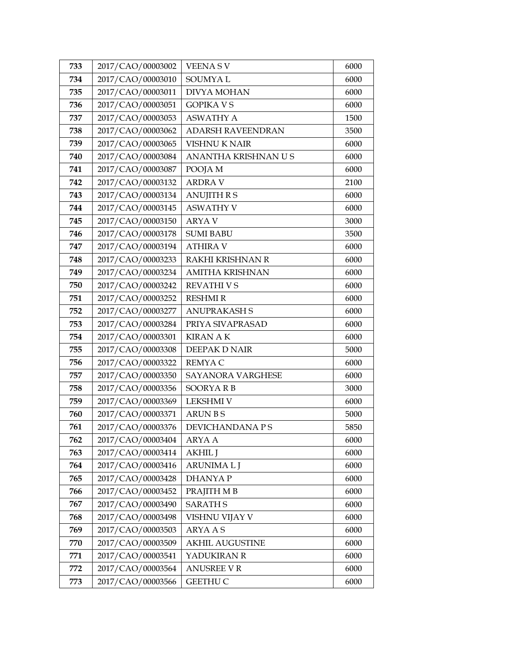| 733 | 2017/CAO/00003002 | <b>VEENASV</b>           | 6000 |
|-----|-------------------|--------------------------|------|
| 734 | 2017/CAO/00003010 | <b>SOUMYAL</b>           | 6000 |
| 735 | 2017/CAO/00003011 | <b>DIVYA MOHAN</b>       | 6000 |
| 736 | 2017/CAO/00003051 | <b>GOPIKA V S</b>        | 6000 |
| 737 | 2017/CAO/00003053 | <b>ASWATHY A</b>         | 1500 |
| 738 | 2017/CAO/00003062 | <b>ADARSH RAVEENDRAN</b> | 3500 |
| 739 | 2017/CAO/00003065 | <b>VISHNU K NAIR</b>     | 6000 |
| 740 | 2017/CAO/00003084 | ANANTHA KRISHNAN U S     | 6000 |
| 741 | 2017/CAO/00003087 | POOJA M                  | 6000 |
| 742 | 2017/CAO/00003132 | <b>ARDRA V</b>           | 2100 |
| 743 | 2017/CAO/00003134 | <b>ANUJITH R S</b>       | 6000 |
| 744 | 2017/CAO/00003145 | <b>ASWATHY V</b>         | 6000 |
| 745 | 2017/CAO/00003150 | <b>ARYA V</b>            | 3000 |
| 746 | 2017/CAO/00003178 | <b>SUMI BABU</b>         | 3500 |
| 747 | 2017/CAO/00003194 | <b>ATHIRA V</b>          | 6000 |
| 748 | 2017/CAO/00003233 | <b>RAKHI KRISHNAN R</b>  | 6000 |
| 749 | 2017/CAO/00003234 | <b>AMITHA KRISHNAN</b>   | 6000 |
| 750 | 2017/CAO/00003242 | <b>REVATHIVS</b>         | 6000 |
| 751 | 2017/CAO/00003252 | <b>RESHMI R</b>          | 6000 |
| 752 | 2017/CAO/00003277 | <b>ANUPRAKASH S</b>      | 6000 |
| 753 | 2017/CAO/00003284 | PRIYA SIVAPRASAD         | 6000 |
| 754 | 2017/CAO/00003301 | <b>KIRAN A K</b>         | 6000 |
| 755 | 2017/CAO/00003308 | DEEPAK D NAIR            | 5000 |
| 756 | 2017/CAO/00003322 | <b>REMYAC</b>            | 6000 |
| 757 | 2017/CAO/00003350 | SAYANORA VARGHESE        | 6000 |
| 758 | 2017/CAO/00003356 | <b>SOORYARB</b>          | 3000 |
| 759 | 2017/CAO/00003369 | <b>LEKSHMI V</b>         | 6000 |
| 760 | 2017/CAO/00003371 | <b>ARUN BS</b>           | 5000 |
| 761 | 2017/CAO/00003376 | DEVICHANDANA P S         | 5850 |
| 762 | 2017/CAO/00003404 | ARYA A                   | 6000 |
| 763 | 2017/CAO/00003414 | <b>AKHIL J</b>           | 6000 |
| 764 | 2017/CAO/00003416 | <b>ARUNIMALJ</b>         | 6000 |
| 765 | 2017/CAO/00003428 | <b>DHANYAP</b>           | 6000 |
| 766 | 2017/CAO/00003452 | PRAJITH M B              | 6000 |
| 767 | 2017/CAO/00003490 | <b>SARATH S</b>          | 6000 |
| 768 | 2017/CAO/00003498 | VISHNU VIJAY V           | 6000 |
| 769 | 2017/CAO/00003503 | <b>ARYAAS</b>            | 6000 |
| 770 | 2017/CAO/00003509 | <b>AKHIL AUGUSTINE</b>   | 6000 |
| 771 | 2017/CAO/00003541 | YADUKIRAN R              | 6000 |
| 772 | 2017/CAO/00003564 | <b>ANUSREE V R</b>       | 6000 |
| 773 | 2017/CAO/00003566 | <b>GEETHU C</b>          | 6000 |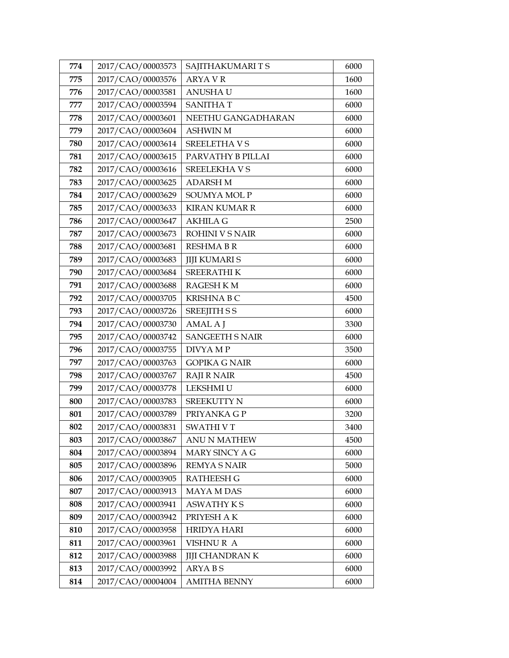| 774 | 2017/CAO/00003573 | SAJITHAKUMARITS        | 6000 |
|-----|-------------------|------------------------|------|
| 775 | 2017/CAO/00003576 | <b>ARYA V R</b>        | 1600 |
| 776 | 2017/CAO/00003581 | <b>ANUSHAU</b>         | 1600 |
| 777 | 2017/CAO/00003594 | <b>SANITHAT</b>        | 6000 |
| 778 | 2017/CAO/00003601 | NEETHU GANGADHARAN     | 6000 |
| 779 | 2017/CAO/00003604 | <b>ASHWIN M</b>        | 6000 |
| 780 | 2017/CAO/00003614 | <b>SREELETHAVS</b>     | 6000 |
| 781 | 2017/CAO/00003615 | PARVATHY B PILLAI      | 6000 |
| 782 | 2017/CAO/00003616 | SREELEKHA V S          | 6000 |
| 783 | 2017/CAO/00003625 | <b>ADARSH M</b>        | 6000 |
| 784 | 2017/CAO/00003629 | <b>SOUMYA MOL P</b>    | 6000 |
| 785 | 2017/CAO/00003633 | <b>KIRAN KUMAR R</b>   | 6000 |
| 786 | 2017/CAO/00003647 | <b>AKHILA G</b>        | 2500 |
| 787 | 2017/CAO/00003673 | ROHINI V S NAIR        | 6000 |
| 788 | 2017/CAO/00003681 | <b>RESHMABR</b>        | 6000 |
| 789 | 2017/CAO/00003683 | <b>JIJI KUMARI S</b>   | 6000 |
| 790 | 2017/CAO/00003684 | <b>SREERATHIK</b>      | 6000 |
| 791 | 2017/CAO/00003688 | RAGESH K M             | 6000 |
| 792 | 2017/CAO/00003705 | <b>KRISHNABC</b>       | 4500 |
| 793 | 2017/CAO/00003726 | <b>SREEJITH S S</b>    | 6000 |
| 794 | 2017/CAO/00003730 | AMAL A J               | 3300 |
| 795 | 2017/CAO/00003742 | <b>SANGEETH S NAIR</b> | 6000 |
| 796 | 2017/CAO/00003755 | DIVYA MP               | 3500 |
| 797 | 2017/CAO/00003763 | <b>GOPIKA G NAIR</b>   | 6000 |
| 798 | 2017/CAO/00003767 | <b>RAJI R NAIR</b>     | 4500 |
| 799 | 2017/CAO/00003778 | LEKSHMI U              | 6000 |
| 800 | 2017/CAO/00003783 | <b>SREEKUTTY N</b>     | 6000 |
| 801 | 2017/CAO/00003789 | PRIYANKA G P           | 3200 |
| 802 | 2017/CAO/00003831 | <b>SWATHIVT</b>        | 3400 |
| 803 | 2017/CAO/00003867 | <b>ANU N MATHEW</b>    | 4500 |
| 804 | 2017/CAO/00003894 | MARY SINCY A G         | 6000 |
| 805 | 2017/CAO/00003896 | <b>REMYA S NAIR</b>    | 5000 |
| 806 | 2017/CAO/00003905 | <b>RATHEESH G</b>      | 6000 |
| 807 | 2017/CAO/00003913 | <b>MAYA M DAS</b>      | 6000 |
| 808 | 2017/CAO/00003941 | <b>ASWATHY KS</b>      | 6000 |
| 809 | 2017/CAO/00003942 | PRIYESH A K            | 6000 |
| 810 | 2017/CAO/00003958 | <b>HRIDYA HARI</b>     | 6000 |
| 811 | 2017/CAO/00003961 | VISHNUR A              | 6000 |
| 812 | 2017/CAO/00003988 | <b>JIJI CHANDRAN K</b> | 6000 |
| 813 | 2017/CAO/00003992 | <b>ARYABS</b>          | 6000 |
| 814 | 2017/CAO/00004004 | <b>AMITHA BENNY</b>    | 6000 |